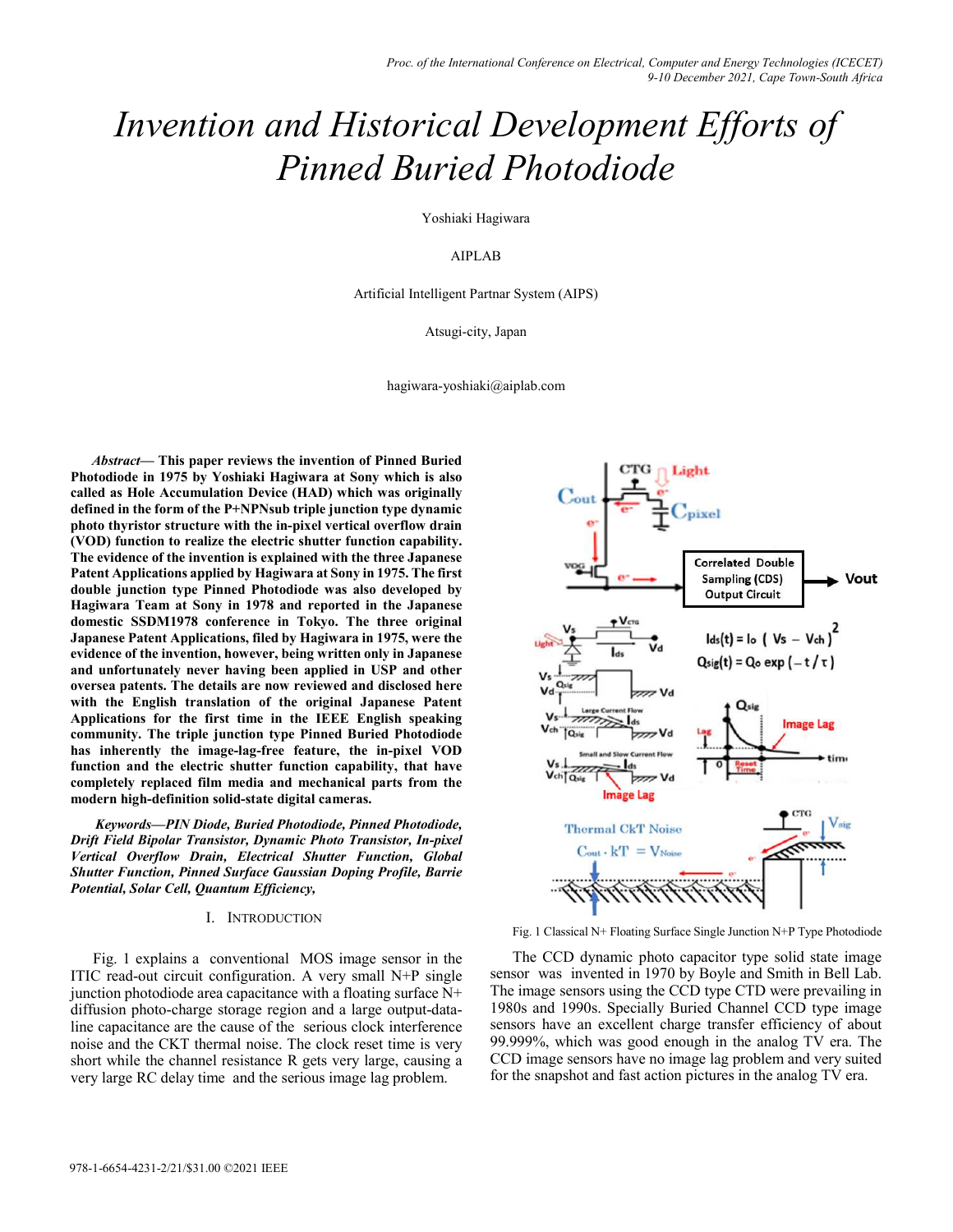# *Invention and Historical Development Efforts of Pinned Buried Photodiode*

Yoshiaki Hagiwara

AIPLAB

Artificial Intelligent Partnar System (AIPS)

Atsugi-city, Japan

hagiwara-yoshiaki@aiplab.com

*Abstract—* **This paper reviews the invention of Pinned Buried Photodiode in 1975 by Yoshiaki Hagiwara at Sony which is also called as Hole Accumulation Device (HAD) which was originally defined in the form of the P+NPNsub triple junction type dynamic photo thyristor structure with the in-pixel vertical overflow drain (VOD) function to realize the electric shutter function capability. The evidence of the invention is explained with the three Japanese Patent Applications applied by Hagiwara at Sony in 1975. The first double junction type Pinned Photodiode was also developed by Hagiwara Team at Sony in 1978 and reported in the Japanese domestic SSDM1978 conference in Tokyo. The three original Japanese Patent Applications, filed by Hagiwara in 1975, were the evidence of the invention, however, being written only in Japanese and unfortunately never having been applied in USP and other oversea patents. The details are now reviewed and disclosed here with the English translation of the original Japanese Patent Applications for the first time in the IEEE English speaking community. The triple junction type Pinned Buried Photodiode has inherently the image-lag-free feature, the in-pixel VOD function and the electric shutter function capability, that have completely replaced film media and mechanical parts from the modern high-definition solid-state digital cameras.**

 *Keywords—PIN Diode, Buried Photodiode, Pinned Photodiode, Drift Field Bipolar Transistor, Dynamic Photo Transistor, In-pixel Vertical Overflow Drain, Electrical Shutter Function, Global Shutter Function, Pinned Surface Gaussian Doping Profile, Barrie Potential, Solar Cell, Quantum Efficiency,* 

# I. INTRODUCTION

Fig. 1 explains a conventional MOS image sensor in the ITIC read-out circuit configuration. A very small N+P single junction photodiode area capacitance with a floating surface N+ diffusion photo-charge storage region and a large output-dataline capacitance are the cause of the serious clock interference noise and the CKT thermal noise. The clock reset time is very short while the channel resistance R gets very large, causing a very large RC delay time and the serious image lag problem.



Fig. 1 Classical N+ Floating Surface Single Junction N+P Type Photodiode

The CCD dynamic photo capacitor type solid state image sensor was invented in 1970 by Boyle and Smith in Bell Lab. The image sensors using the CCD type CTD were prevailing in 1980s and 1990s. Specially Buried Channel CCD type image sensors have an excellent charge transfer efficiency of about 99.999%, which was good enough in the analog TV era. The CCD image sensors have no image lag problem and very suited for the snapshot and fast action pictures in the analog TV era.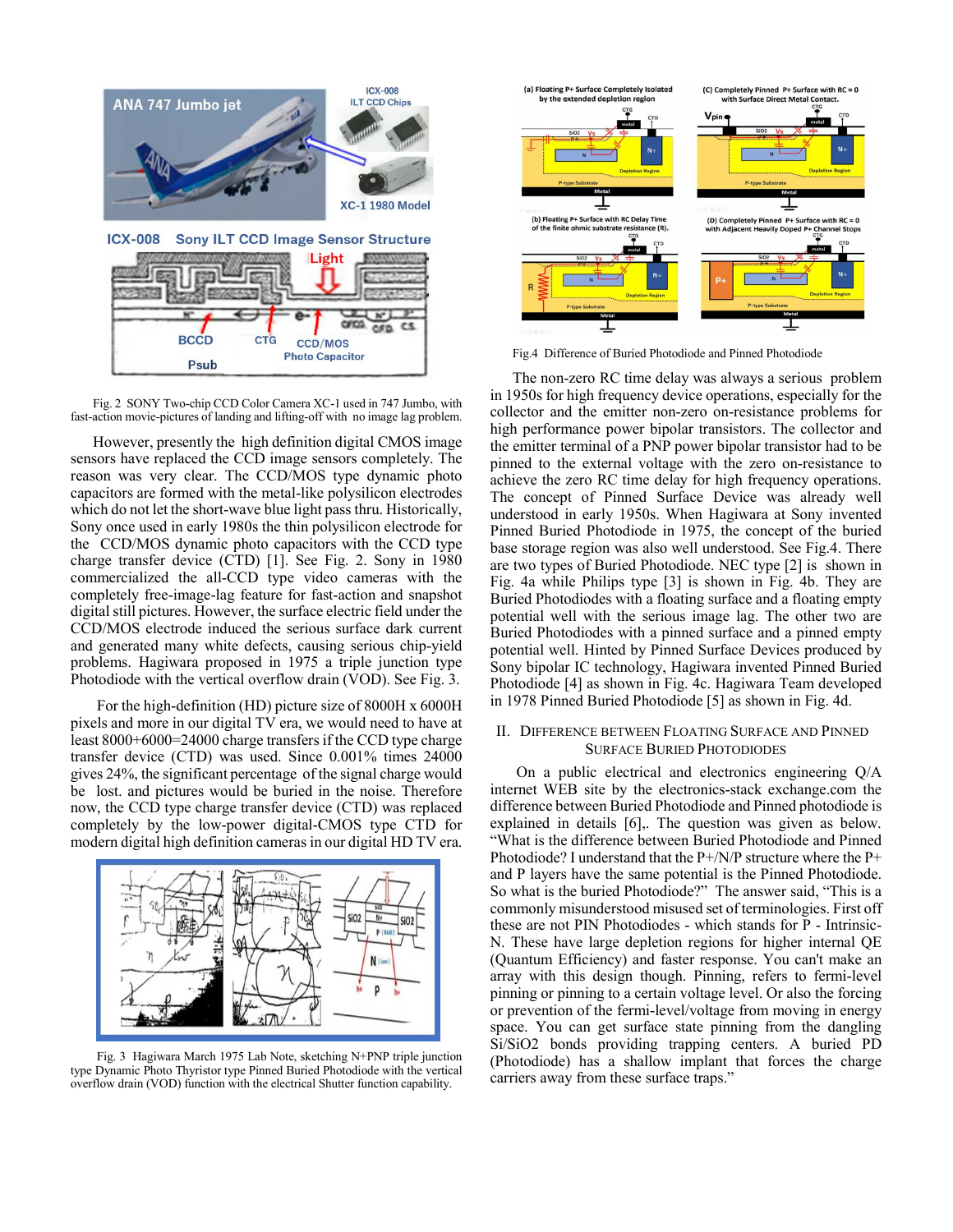



However, presently the high definition digital CMOS image sensors have replaced the CCD image sensors completely. The reason was very clear. The CCD/MOS type dynamic photo capacitors are formed with the metal-like polysilicon electrodes which do not let the short-wave blue light pass thru. Historically, Sony once used in early 1980s the thin polysilicon electrode for the CCD/MOS dynamic photo capacitors with the CCD type charge transfer device (CTD) [1]. See Fig. 2. Sony in 1980 commercialized the all-CCD type video cameras with the completely free-image-lag feature for fast-action and snapshot digital still pictures. However, the surface electric field under the CCD/MOS electrode induced the serious surface dark current and generated many white defects, causing serious chip-yield problems. Hagiwara proposed in 1975 a triple junction type Photodiode with the vertical overflow drain (VOD). See Fig. 3.

 For the high-definition (HD) picture size of 8000H x 6000H pixels and more in our digital TV era, we would need to have at least 8000+6000=24000 charge transfers if the CCD type charge transfer device (CTD) was used. Since 0.001% times 24000 gives 24%, the significant percentage of the signal charge would be lost. and pictures would be buried in the noise. Therefore now, the CCD type charge transfer device (CTD) was replaced completely by the low-power digital-CMOS type CTD for modern digital high definition cameras in our digital HD TV era.



Fig. 3 Hagiwara March 1975 Lab Note, sketching N+PNP triple junction type Dynamic Photo Thyristor type Pinned Buried Photodiode with the vertical overflow drain (VOD) function with the electrical Shutter function capability.



Fig.4 Difference of Buried Photodiode and Pinned Photodiode

The non-zero RC time delay was always a serious problem in 1950s for high frequency device operations, especially for the collector and the emitter non-zero on-resistance problems for high performance power bipolar transistors. The collector and the emitter terminal of a PNP power bipolar transistor had to be pinned to the external voltage with the zero on-resistance to achieve the zero RC time delay for high frequency operations. The concept of Pinned Surface Device was already well understood in early 1950s. When Hagiwara at Sony invented Pinned Buried Photodiode in 1975, the concept of the buried base storage region was also well understood. See Fig.4. There are two types of Buried Photodiode. NEC type [2] is shown in Fig. 4a while Philips type [3] is shown in Fig. 4b. They are Buried Photodiodes with a floating surface and a floating empty potential well with the serious image lag. The other two are Buried Photodiodes with a pinned surface and a pinned empty potential well. Hinted by Pinned Surface Devices produced by Sony bipolar IC technology, Hagiwara invented Pinned Buried Photodiode [4] as shown in Fig. 4c. Hagiwara Team developed in 1978 Pinned Buried Photodiode [5] as shown in Fig. 4d.

# II. DIFFERENCE BETWEEN FLOATING SURFACE AND PINNED SURFACE BURIED PHOTODIODES

 On a public electrical and electronics engineering Q/A internet WEB site by the electronics-stack exchange.com the difference between Buried Photodiode and Pinned photodiode is explained in details [6],. The question was given as below. "What is the difference between Buried Photodiode and Pinned Photodiode? I understand that the P+/N/P structure where the P+ and P layers have the same potential is the Pinned Photodiode. So what is the buried Photodiode?" The answer said, "This is a commonly misunderstood misused set of terminologies. First off these are not PIN Photodiodes - which stands for P - Intrinsic-N. These have large depletion regions for higher internal QE (Quantum Efficiency) and faster response. You can't make an array with this design though. Pinning, refers to fermi-level pinning or pinning to a certain voltage level. Or also the forcing or prevention of the fermi-level/voltage from moving in energy space. You can get surface state pinning from the dangling Si/SiO2 bonds providing trapping centers. A buried PD (Photodiode) has a shallow implant that forces the charge carriers away from these surface traps."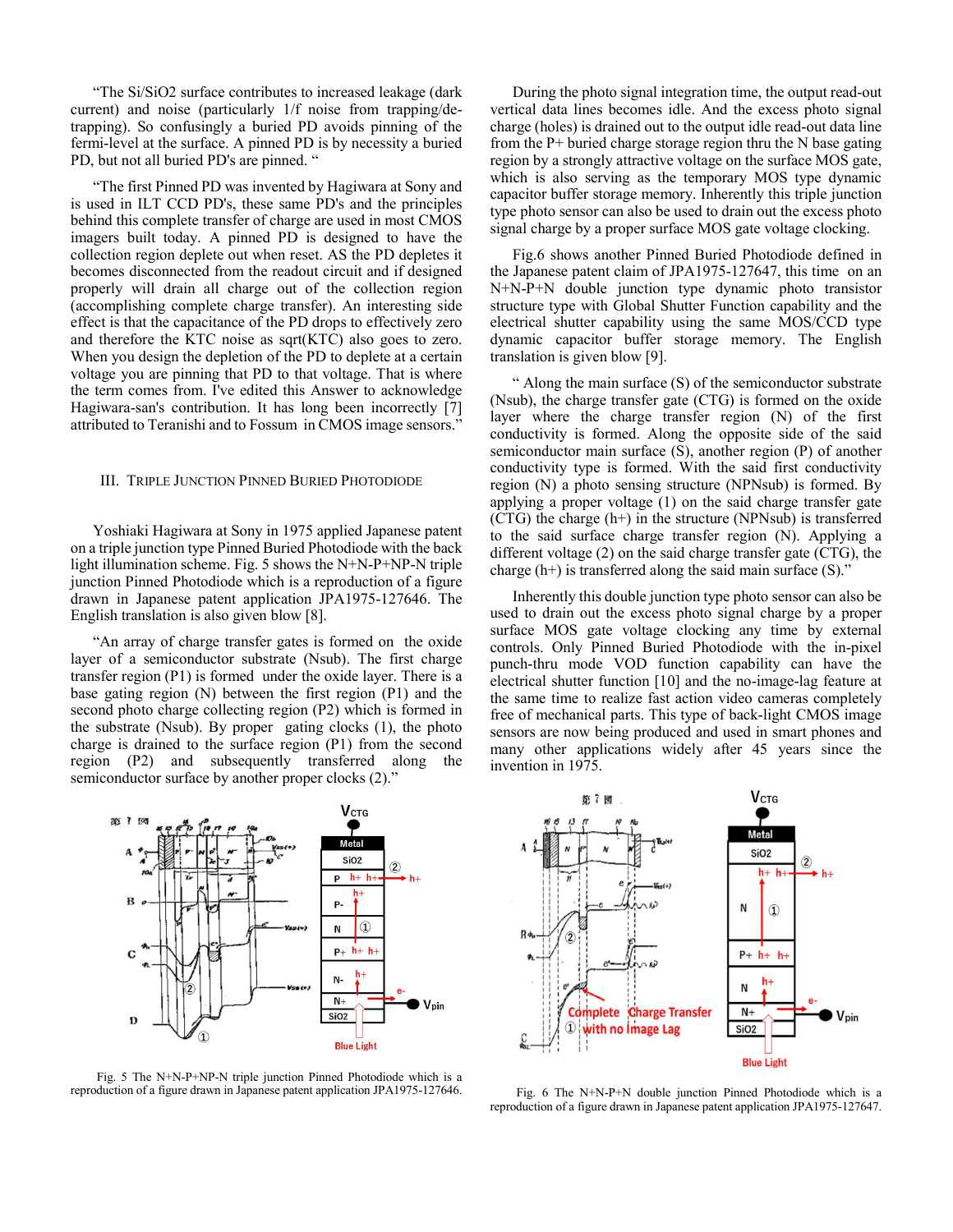"The Si/SiO2 surface contributes to increased leakage (dark current) and noise (particularly 1/f noise from trapping/detrapping). So confusingly a buried PD avoids pinning of the fermi-level at the surface. A pinned PD is by necessity a buried PD, but not all buried PD's are pinned. "

"The first Pinned PD was invented by Hagiwara at Sony and is used in ILT CCD PD's, these same PD's and the principles behind this complete transfer of charge are used in most CMOS imagers built today. A pinned PD is designed to have the collection region deplete out when reset. AS the PD depletes it becomes disconnected from the readout circuit and if designed properly will drain all charge out of the collection region (accomplishing complete charge transfer). An interesting side effect is that the capacitance of the PD drops to effectively zero and therefore the KTC noise as sqrt(KTC) also goes to zero. When you design the depletion of the PD to deplete at a certain voltage you are pinning that PD to that voltage. That is where the term comes from. I've edited this Answer to acknowledge Hagiwara-san's contribution. It has long been incorrectly [7] attributed to Teranishi and to Fossum in CMOS image sensors."

## III. TRIPLE JUNCTION PINNED BURIED PHOTODIODE

Yoshiaki Hagiwara at Sony in 1975 applied Japanese patent on a triple junction type Pinned Buried Photodiode with the back light illumination scheme. Fig. 5 shows the N+N-P+NP-N triple junction Pinned Photodiode which is a reproduction of a figure drawn in Japanese patent application JPA1975-127646. The English translation is also given blow [8].

"An array of charge transfer gates is formed on the oxide layer of a semiconductor substrate (Nsub). The first charge transfer region (P1) is formed under the oxide layer. There is a base gating region (N) between the first region (P1) and the second photo charge collecting region (P2) which is formed in the substrate (Nsub). By proper gating clocks (1), the photo charge is drained to the surface region (P1) from the second region (P2) and subsequently transferred along the

semiconductor surface by another proper clocks (2)." **V**стс

**Metal SiO2**  $\circled{2}$ P  $h + h +$ ► h-B p.  $^\circledR$ N  $h + h$  $P_{+}$  $\mathbf C$ N- $N-$ **SiO2** D **Blue Light** 

Fig. 5 The N+N-P+NP-N triple junction Pinned Photodiode which is a reproduction of a figure drawn in Japanese patent application JPA1975-127646.

During the photo signal integration time, the output read-out vertical data lines becomes idle. And the excess photo signal charge (holes) is drained out to the output idle read-out data line from the  $P+$  buried charge storage region thru the N base gating region by a strongly attractive voltage on the surface MOS gate, which is also serving as the temporary MOS type dynamic capacitor buffer storage memory. Inherently this triple junction type photo sensor can also be used to drain out the excess photo signal charge by a proper surface MOS gate voltage clocking.

Fig.6 shows another Pinned Buried Photodiode defined in the Japanese patent claim of JPA1975-127647, this time on an N+N-P+N double junction type dynamic photo transistor structure type with Global Shutter Function capability and the electrical shutter capability using the same MOS/CCD type dynamic capacitor buffer storage memory. The English translation is given blow [9].

" Along the main surface (S) of the semiconductor substrate (Nsub), the charge transfer gate (CTG) is formed on the oxide layer where the charge transfer region (N) of the first conductivity is formed. Along the opposite side of the said semiconductor main surface (S), another region (P) of another conductivity type is formed. With the said first conductivity region (N) a photo sensing structure (NPNsub) is formed. By applying a proper voltage (1) on the said charge transfer gate  $(CTG)$  the charge  $(h+)$  in the structure (NPNsub) is transferred to the said surface charge transfer region (N). Applying a different voltage (2) on the said charge transfer gate (CTG), the charge  $(h+)$  is transferred along the said main surface  $(S)$ ."

Inherently this double junction type photo sensor can also be used to drain out the excess photo signal charge by a proper surface MOS gate voltage clocking any time by external controls. Only Pinned Buried Photodiode with the in-pixel punch-thru mode VOD function capability can have the electrical shutter function [10] and the no-image-lag feature at the same time to realize fast action video cameras completely free of mechanical parts. This type of back-light CMOS image sensors are now being produced and used in smart phones and many other applications widely after 45 years since the invention in 1975.



Fig. 6 The N+N-P+N double junction Pinned Photodiode which is a reproduction of a figure drawn in Japanese patent application JPA1975-127647.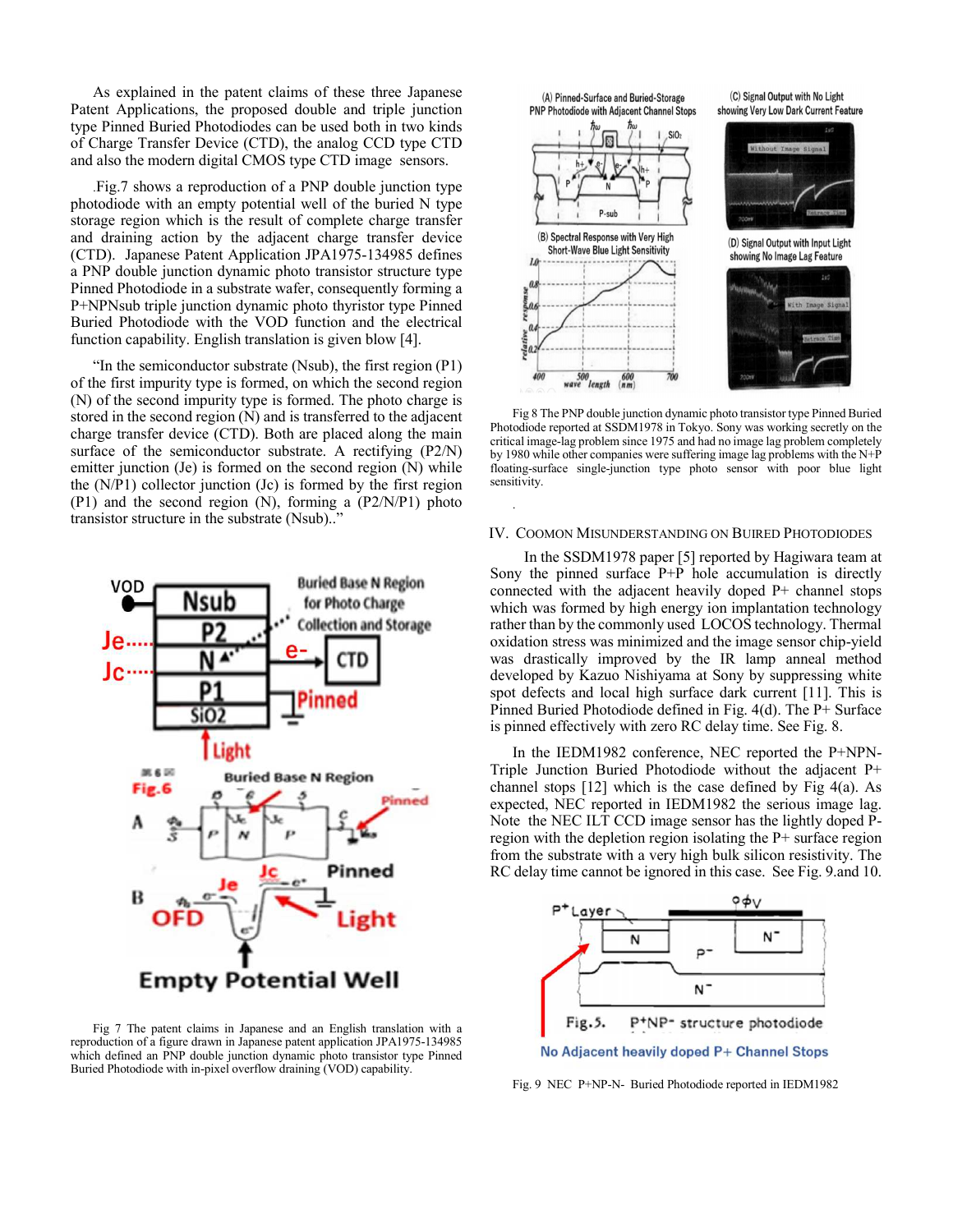As explained in the patent claims of these three Japanese Patent Applications, the proposed double and triple junction type Pinned Buried Photodiodes can be used both in two kinds of Charge Transfer Device (CTD), the analog CCD type CTD and also the modern digital CMOS type CTD image sensors.

.Fig.7 shows a reproduction of a PNP double junction type photodiode with an empty potential well of the buried N type storage region which is the result of complete charge transfer and draining action by the adjacent charge transfer device (CTD). Japanese Patent Application JPA1975-134985 defines a PNP double junction dynamic photo transistor structure type Pinned Photodiode in a substrate wafer, consequently forming a P+NPNsub triple junction dynamic photo thyristor type Pinned Buried Photodiode with the VOD function and the electrical function capability. English translation is given blow [4].

"In the semiconductor substrate (Nsub), the first region (P1) of the first impurity type is formed, on which the second region (N) of the second impurity type is formed. The photo charge is stored in the second region (N) and is transferred to the adjacent charge transfer device (CTD). Both are placed along the main surface of the semiconductor substrate. A rectifying (P2/N) emitter junction (Je) is formed on the second region (N) while the (N/P1) collector junction (Jc) is formed by the first region (P1) and the second region (N), forming a (P2/N/P1) photo transistor structure in the substrate (Nsub).."



Fig 7 The patent claims in Japanese and an English translation with a reproduction of a figure drawn in Japanese patent application JPA1975-134985 which defined an PNP double junction dynamic photo transistor type Pinned Buried Photodiode with in-pixel overflow draining (VOD) capability.



Fig 8 The PNP double junction dynamic photo transistor type Pinned Buried Photodiode reported at SSDM1978 in Tokyo. Sony was working secretly on the critical image-lag problem since 1975 and had no image lag problem completely by 1980 while other companies were suffering image lag problems with the N+P floating-surface single-junction type photo sensor with poor blue light sensitivity.

#### IV. COOMON MISUNDERSTANDING ON BUIRED PHOTODIODES

.

In the SSDM1978 paper [5] reported by Hagiwara team at Sony the pinned surface P+P hole accumulation is directly connected with the adjacent heavily doped P+ channel stops which was formed by high energy ion implantation technology rather than by the commonly used LOCOS technology. Thermal oxidation stress was minimized and the image sensor chip-yield was drastically improved by the IR lamp anneal method developed by Kazuo Nishiyama at Sony by suppressing white spot defects and local high surface dark current [11]. This is Pinned Buried Photodiode defined in Fig. 4(d). The P+ Surface is pinned effectively with zero RC delay time. See Fig. 8.

In the IEDM1982 conference, NEC reported the P+NPN-Triple Junction Buried Photodiode without the adjacent P+ channel stops [12] which is the case defined by Fig 4(a). As expected, NEC reported in IEDM1982 the serious image lag. Note the NEC ILT CCD image sensor has the lightly doped Pregion with the depletion region isolating the P+ surface region from the substrate with a very high bulk silicon resistivity. The RC delay time cannot be ignored in this case. See Fig. 9.and 10.



Fig. 9 NEC P+NP-N- Buried Photodiode reported in IEDM1982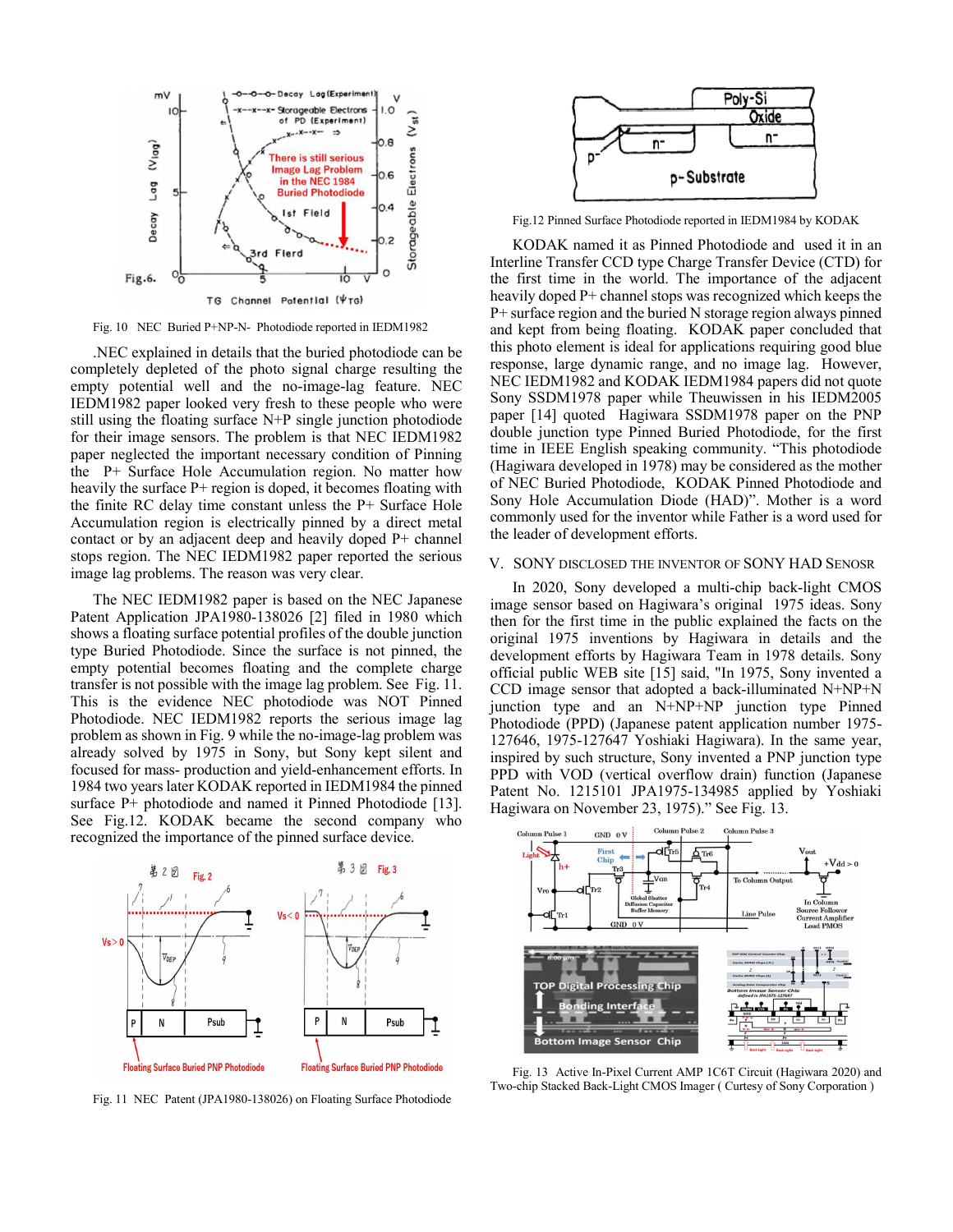

Fig. 10 NEC Buried P+NP-N- Photodiode reported in IEDM1982

.NEC explained in details that the buried photodiode can be completely depleted of the photo signal charge resulting the empty potential well and the no-image-lag feature. NEC IEDM1982 paper looked very fresh to these people who were still using the floating surface N+P single junction photodiode for their image sensors. The problem is that NEC IEDM1982 paper neglected the important necessary condition of Pinning the P+ Surface Hole Accumulation region. No matter how heavily the surface  $P+$  region is doped, it becomes floating with the finite RC delay time constant unless the P+ Surface Hole Accumulation region is electrically pinned by a direct metal contact or by an adjacent deep and heavily doped P+ channel stops region. The NEC IEDM1982 paper reported the serious image lag problems. The reason was very clear.

The NEC IEDM1982 paper is based on the NEC Japanese Patent Application JPA1980-138026 [2] filed in 1980 which shows a floating surface potential profiles of the double junction type Buried Photodiode. Since the surface is not pinned, the empty potential becomes floating and the complete charge transfer is not possible with the image lag problem. See Fig. 11. This is the evidence NEC photodiode was NOT Pinned Photodiode. NEC IEDM1982 reports the serious image lag problem as shown in Fig. 9 while the no-image-lag problem was already solved by 1975 in Sony, but Sony kept silent and focused for mass- production and yield-enhancement efforts. In 1984 two years later KODAK reported in IEDM1984 the pinned surface P+ photodiode and named it Pinned Photodiode [13]. See Fig.12. KODAK became the second company who recognized the importance of the pinned surface device.



Fig. 11 NEC Patent (JPA1980-138026) on Floating Surface Photodiode



Fig.12 Pinned Surface Photodiode reported in IEDM1984 by KODAK

KODAK named it as Pinned Photodiode and used it in an Interline Transfer CCD type Charge Transfer Device (CTD) for the first time in the world. The importance of the adjacent heavily doped P+ channel stops was recognized which keeps the P+ surface region and the buried N storage region always pinned and kept from being floating. KODAK paper concluded that this photo element is ideal for applications requiring good blue response, large dynamic range, and no image lag. However, NEC IEDM1982 and KODAK IEDM1984 papers did not quote Sony SSDM1978 paper while Theuwissen in his IEDM2005 paper [14] quoted Hagiwara SSDM1978 paper on the PNP double junction type Pinned Buried Photodiode, for the first time in IEEE English speaking community. "This photodiode (Hagiwara developed in 1978) may be considered as the mother of NEC Buried Photodiode, KODAK Pinned Photodiode and Sony Hole Accumulation Diode (HAD)". Mother is a word commonly used for the inventor while Father is a word used for the leader of development efforts.

## V. SONY DISCLOSED THE INVENTOR OF SONY HAD SENOSR

In 2020, Sony developed a multi-chip back-light CMOS image sensor based on Hagiwara's original 1975 ideas. Sony then for the first time in the public explained the facts on the original 1975 inventions by Hagiwara in details and the development efforts by Hagiwara Team in 1978 details. Sony official public WEB site [15] said, "In 1975, Sony invented a CCD image sensor that adopted a back-illuminated N+NP+N junction type and an N+NP+NP junction type Pinned Photodiode (PPD) (Japanese patent application number 1975- 127646, 1975-127647 Yoshiaki Hagiwara). In the same year, inspired by such structure, Sony invented a PNP junction type PPD with VOD (vertical overflow drain) function (Japanese Patent No. 1215101 JPA1975-134985 applied by Yoshiaki Hagiwara on November 23, 1975)." See Fig. 13.



Fig. 13 Active In-Pixel Current AMP 1C6T Circuit (Hagiwara 2020) and Two-chip Stacked Back-Light CMOS Imager ( Curtesy of Sony Corporation )